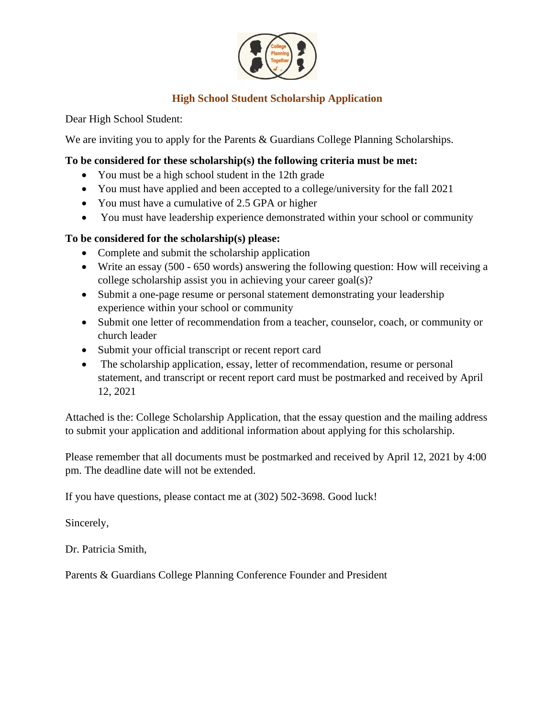

# **High School Student Scholarship Application**

Dear High School Student:

We are inviting you to apply for the Parents & Guardians College Planning Scholarships.

# **To be considered for these scholarship(s) the following criteria must be met:**

- You must be a high school student in the 12th grade
- You must have applied and been accepted to a college/university for the fall 2021
- You must have a cumulative of 2.5 GPA or higher
- You must have leadership experience demonstrated within your school or community

## **To be considered for the scholarship(s) please:**

- Complete and submit the scholarship application
- Write an essay (500 650 words) answering the following question: How will receiving a college scholarship assist you in achieving your career goal(s)?
- Submit a one-page resume or personal statement demonstrating your leadership experience within your school or community
- Submit one letter of recommendation from a teacher, counselor, coach, or community or church leader
- Submit your official transcript or recent report card
- The scholarship application, essay, letter of recommendation, resume or personal statement, and transcript or recent report card must be postmarked and received by April 12, 2021

Attached is the: College Scholarship Application, that the essay question and the mailing address to submit your application and additional information about applying for this scholarship.

Please remember that all documents must be postmarked and received by April 12, 2021 by 4:00 pm. The deadline date will not be extended.

If you have questions, please contact me at (302) 502-3698. Good luck!

Sincerely,

Dr. Patricia Smith,

Parents & Guardians College Planning Conference Founder and President